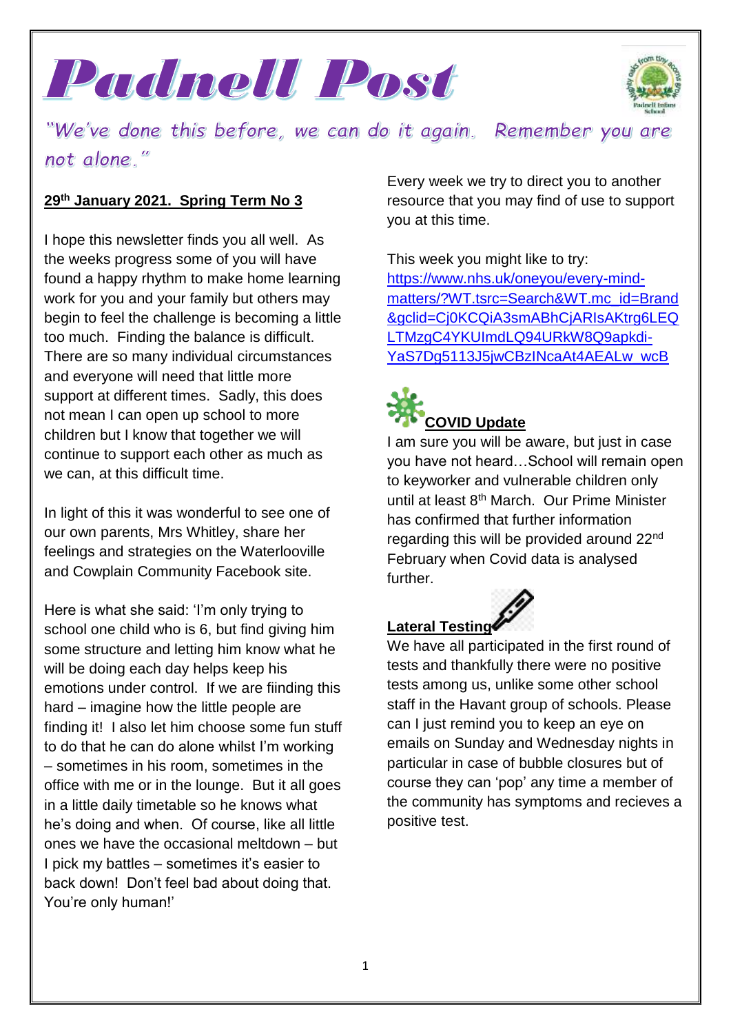



"We've done this before, we can do it again. Remember you are not alone."

#### **29th January 2021. Spring Term No 3**

I hope this newsletter finds you all well. As the weeks progress some of you will have found a happy rhythm to make home learning work for you and your family but others may begin to feel the challenge is becoming a little too much. Finding the balance is difficult. There are so many individual circumstances and everyone will need that little more support at different times. Sadly, this does not mean I can open up school to more children but I know that together we will continue to support each other as much as we can, at this difficult time.

In light of this it was wonderful to see one of our own parents, Mrs Whitley, share her feelings and strategies on the Waterlooville and Cowplain Community Facebook site.

Here is what she said: 'I'm only trying to school one child who is 6, but find giving him some structure and letting him know what he will be doing each day helps keep his emotions under control. If we are fiinding this hard – imagine how the little people are finding it! I also let him choose some fun stuff to do that he can do alone whilst I'm working – sometimes in his room, sometimes in the office with me or in the lounge. But it all goes in a little daily timetable so he knows what he's doing and when. Of course, like all little ones we have the occasional meltdown – but I pick my battles – sometimes it's easier to back down! Don't feel bad about doing that. You're only human!'

Every week we try to direct you to another resource that you may find of use to support you at this time.

This week you might like to try: [https://www.nhs.uk/oneyou/every-mind](https://www.nhs.uk/oneyou/every-mind-matters/?WT.tsrc=Search&WT.mc_id=Brand&gclid=Cj0KCQiA3smABhCjARIsAKtrg6LEQLTMzgC4YKUImdLQ94URkW8Q9apkdi-YaS7Dg5113J5jwCBzINcaAt4AEALw_wcB)[matters/?WT.tsrc=Search&WT.mc\\_id=Brand](https://www.nhs.uk/oneyou/every-mind-matters/?WT.tsrc=Search&WT.mc_id=Brand&gclid=Cj0KCQiA3smABhCjARIsAKtrg6LEQLTMzgC4YKUImdLQ94URkW8Q9apkdi-YaS7Dg5113J5jwCBzINcaAt4AEALw_wcB) [&gclid=Cj0KCQiA3smABhCjARIsAKtrg6LEQ](https://www.nhs.uk/oneyou/every-mind-matters/?WT.tsrc=Search&WT.mc_id=Brand&gclid=Cj0KCQiA3smABhCjARIsAKtrg6LEQLTMzgC4YKUImdLQ94URkW8Q9apkdi-YaS7Dg5113J5jwCBzINcaAt4AEALw_wcB) [LTMzgC4YKUImdLQ94URkW8Q9apkdi-](https://www.nhs.uk/oneyou/every-mind-matters/?WT.tsrc=Search&WT.mc_id=Brand&gclid=Cj0KCQiA3smABhCjARIsAKtrg6LEQLTMzgC4YKUImdLQ94URkW8Q9apkdi-YaS7Dg5113J5jwCBzINcaAt4AEALw_wcB)YaS7Dq5113J5jwCBzINcaAt4AEALw\_wcB

# **COVID Update**

I am sure you will be aware, but just in case you have not heard…School will remain open to keyworker and vulnerable children only until at least 8th March. Our Prime Minister has confirmed that further information regarding this will be provided around 22<sup>nd</sup> February when Covid data is analysed further.

## **Lateral Testing**

We have all participated in the first round of tests and thankfully there were no positive tests among us, unlike some other school staff in the Havant group of schools. Please can I just remind you to keep an eye on emails on Sunday and Wednesday nights in particular in case of bubble closures but of course they can 'pop' any time a member of the community has symptoms and recieves a positive test.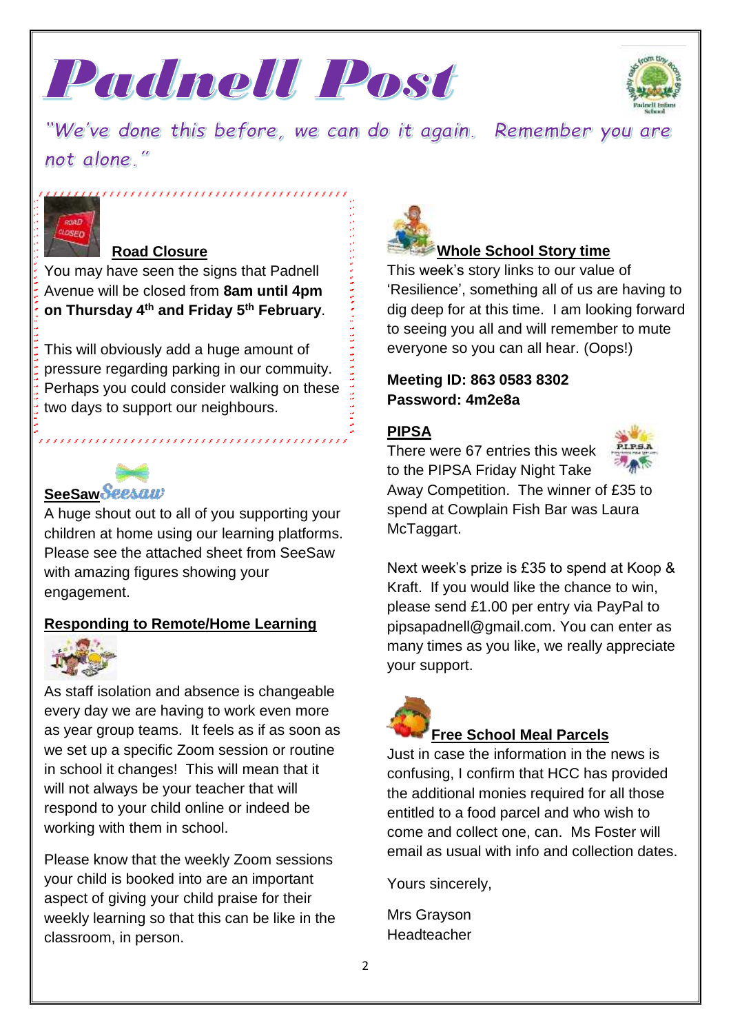



"We've done this before, we can do it again. Remember you are not alone."



#### **Road Closure**

You may have seen the signs that Padnell Avenue will be closed from **8am until 4pm on Thursday 4th and Friday 5th February**.

,,,,,,,,,,,,,,,,,,,,,,,,,,,,,,,,,,

This will obviously add a huge amount of pressure regarding parking in our commuity. Perhaps you could consider walking on these two days to support our neighbours.

### **SeeSaw Seesaw**

A huge shout out to all of you supporting your children at home using our learning platforms. Please see the attached sheet from SeeSaw with amazing figures showing your engagement.

#### **Responding to Remote/Home Learning**



As staff isolation and absence is changeable every day we are having to work even more as year group teams. It feels as if as soon as we set up a specific Zoom session or routine in school it changes! This will mean that it will not always be your teacher that will respond to your child online or indeed be working with them in school.

Please know that the weekly Zoom sessions your child is booked into are an important aspect of giving your child praise for their weekly learning so that this can be like in the classroom, in person.



#### **Whole School Story time**

This week's story links to our value of 'Resilience', something all of us are having to dig deep for at this time. I am looking forward to seeing you all and will remember to mute everyone so you can all hear. (Oops!)

#### **Meeting ID: 863 0583 8302 Password: 4m2e8a**

#### **PIPSA**

There were 67 entries this week to the PIPSA Friday Night Take



Away Competition. The winner of £35 to spend at Cowplain Fish Bar was Laura McTaggart.

Next week's prize is £35 to spend at Koop & Kraft. If you would like the chance to win, please send £1.00 per entry via PayPal to pipsapadnell@gmail.com. You can enter as many times as you like, we really appreciate your support.



#### **Free School Meal Parcels**

Just in case the information in the news is confusing, I confirm that HCC has provided the additional monies required for all those entitled to a food parcel and who wish to come and collect one, can. Ms Foster will email as usual with info and collection dates.

Yours sincerely,

Mrs Grayson Headteacher